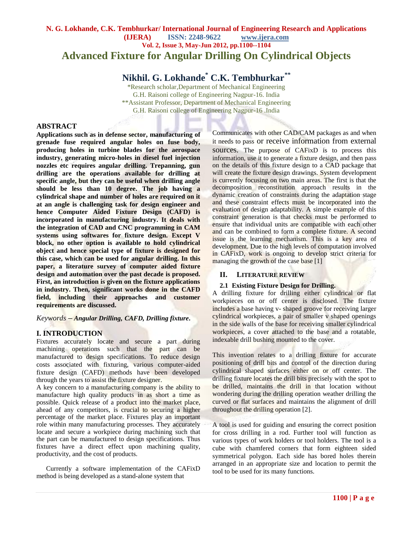## **N. G. Lokhande, C.K. Tembhurkar/ International Journal of Engineering Research and Applications (IJERA) ISSN: 2248-9622 www.ijera.com Vol. 2, Issue 3, May-Jun 2012, pp.1100--1104 Advanced Fixture for Angular Drilling On Cylindrical Objects**

# **Nikhil. G. Lokhande\* C.K. Tembhurkar***\*\**

\*Research scholar,Department of Mechanical Engineering G.H. Raisoni college of Engineering Nagpur-16. India \*\*Assistant Professor, Department of Mechanical Engineering G.H. Raisoni college of Engineering Nagpur-16 .India

#### **ABSTRACT**

**Applications such as in defense sector, manufacturing of grenade fuse required angular holes on fuse body, producing holes in turbine blades for the aerospace industry, generating micro-holes in diesel fuel injection nozzles etc requires angular drilling. Trepanning, gun drilling are the operations available for drilling at specific angle, but they can be useful when drilling angle should be less than 10 degree. The job having a cylindrical shape and number of holes are required on it at an angle is challenging task for design engineer and hence Computer Aided Fixture Design (CAFD) is incorporated in manufacturing industry. It deals with the integration of CAD and CNC programming in CAM systems using softwares for fixture design. Except V block, no other option is available to hold cylindrical object and hence special type of fixture is designed for this case, which can be used for angular drilling. In this paper, a literature survey of computer aided fixture design and automation over the past decade is proposed. First, an introduction is given on the fixture applications in industry. Then, significant works done in the CAFD field, including their approaches and customer requirements are discussed.**

#### *Keywords – Angular Drilling, CAFD, Drilling fixture***.**

## **I. INTRODUCTION**

Fixtures accurately locate and secure a part during machining operations such that the part can be manufactured to design specifications. To reduce design costs associated with fixturing, various computer-aided fixture design (CAFD) methods have been developed through the years to assist the fixture designer.

A key concern to a manufacturing company is the ability to manufacture high quality products in as short a time as possible. Quick release of a product into the market place, ahead of any competitors, is crucial to securing a higher percentage of the market place. Fixtures play an important role within many manufacturing processes. They accurately locate and secure a workpiece during machining such that the part can be manufactured to design specifications. Thus fixtures have a direct effect upon machining quality, productivity, and the cost of products.

Currently a software implementation of the CAFixD method is being developed as a stand-alone system that

Communicates with other CAD/CAM packages as and when it needs to pass or receive information from external sources. The purpose of CAFixD is to process this information, use it to generate a fixture design, and then pass on the details of this fixture design to a CAD package that will create the fixture design drawings. System development is currently focusing on two main areas. The first is that the decomposition reconstitution approach results in the dynamic creation of constraints during the adaptation stage and these constraint effects must be incorporated into the evaluation of design adaptability. A simple example of this constraint generation is that checks must be performed to ensure that individual units are compatible with each other and can be combined to form a complete fixture. A second issue is the learning mechanism. This is a key area of development. Due to the high levels of computation involved in CAFixD, work is ongoing to develop strict criteria for managing the growth of the case base [1]

#### **II. LITERATURE REVIEW**

#### **2.1 Existing Fixture Design for Drilling.**

A drilling fixture for drilling either cylindrical or flat workpieces on or off center is disclosed. The fixture includes a base having v- shaped groove for receiving larger cylindrical workpieces, a pair of smaller v shaped openings in the side walls of the base for receiving smaller cylindrical workpieces, a cover attached to the base and a rotatable, indexable drill bushing mounted to the cover.

This invention relates to a drilling fixture for accurate positioning of drill bits and control of the direction during cylindrical shaped surfaces either on or off center. The drilling fixture locates the drill bits precisely with the spot to be drilled, maintains the drill in that location without wondering during the drilling operation weather drilling the curved or flat surfaces and maintains the alignment of drill throughout the drilling operation [2].

A tool is used for guiding and ensuring the correct position for cross drilling in a rod. Further tool will function as various types of work holders or tool holders. The tool is a cube with chamfered corners that form eighteen sided symmetrical polygon. Each side has bored holes therein arranged in an appropriate size and location to permit the tool to be used for its many functions.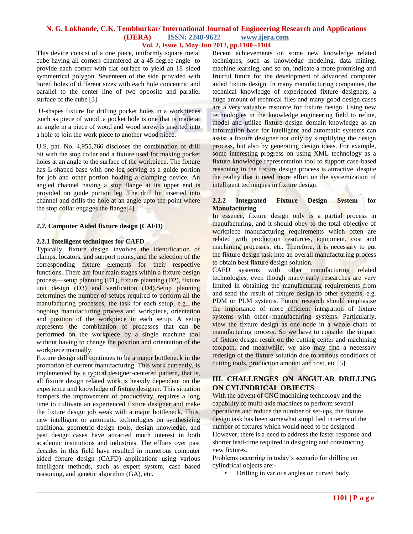#### **N. G. Lokhande, C.K. Tembhurkar/ International Journal of Engineering Research and Applications (IJERA) ISSN: 2248-9622 www.ijera.com Vol. 2, Issue 3, May-Jun 2012, pp.1100--1104**

This device consist of a one piece, uniformly square metal cube having all corners chamfered at a 45 degree angle to provide each corner with flat surface to yield an 18 sided symmetrical polygon. Seventeen of the side provided with bored holes of different sizes with each hole concentric and parallel to the center line of two opposite and parallel surface of the cube [3].

 U-shapes fixture for drilling pocket holes in a workpieces ,such as piece of wood .a pocket hole is one that is made at an angle in a piece of wood and wood screw is inserted into a hole to join the work piece to another wood piece.

U.S. pat. No. 4,955,766 discloses the combination of drill bit with the stop collar and a fixture used for making pocket holes at an angle to the surface of the workpiece. The fixture has L-shaped base with one leg serving as a guide portion for job and other portion holding a clamping device. An angled channel having a stop flange at its upper end is provided on guide portion leg. The drill bit inserted into channel and drills the hole at an angle upto the point where the stop collar engages the flange[4].

#### *2.2.* **Computer Aided fixture design (CAFD)**

#### **2.2.1 Intelligent techniques for CAFD**

Typically, fixture design involves the identification of clamps, locators, and support points, and the selection of the corresponding fixture elements for their respective functions. There are four main stages within a fixture design process—setup planning (D1), fixture planning (D2), fixture unit design (D3) and verification (D4).Setup planning determines the number of setups required to perform all the manufacturing processes, the task for each setup, e.g., the ongoing manufacturing process and workpiece, orientation and position of the workpiece in each setup. A setup represents the combination of processes that can be performed on the workpiece by a single machine tool without having to change the position and orientation of the workpiece manually.

Fixture design still continues to be a major bottleneck in the promotion of current manufacturing. This work currently, is implemented by a typical designer-centered pattern, that is, all fixture design related work is heavily dependent on the experience and knowledge of fixture designer. This situation hampers the improvement of productivity, requires a long time to cultivate an experienced fixture designer and make the fixture design job weak with a major bottleneck. Thus, new intelligent or automatic technologies on synthesizing traditional geometric design tools, design knowledge, and past design cases have attracted much interest in both academic institutions and industries. The efforts over past decades in this field have resulted in numerous computer aided fixture design (CAFD) applications using various intelligent methods, such as expert system, case based reasoning, and genetic algorithm (GA), etc.

Recent achievements on some new knowledge related techniques, such as knowledge modeling, data mining, machine learning, and so on, indicate a more promising and fruitful future for the development of advanced computer aided fixture design. In many manufacturing companies, the technical knowledge of experienced fixture designers, a huge amount of technical files and many good design cases are a very valuable resource for fixture design. Using new technologies in the knowledge engineering field to refine, model and utilize fixture design domain knowledge as an information base for intelligent and automatic systems can assist a fixture designer not only by simplifying the design process, but also by generating design ideas. For example, some interesting progress on using XML technology as a fixture knowledge representation tool to support case-based reasoning in the fixture design process is attractive, despite the reality that it need more effort on the systemization of intelligent techniques in fixture design.

#### **2.2.2 Integrated Fixture Design System for Manufacturing**

In essence, fixture design only is a partial process in manufacturing, and it should obey to the total objective of workpiece manufacturing requirements which often are related with production resources, equipment, cost and machining processes, etc. Therefore, it is necessary to put the fixture design task into an overall manufacturing process to obtain best fixture design solution.

CAFD systems with other manufacturing related technologies, even though many early researches are very limited in obtaining the manufacturing requirements from and send the result of fixture design to other systems, e.g. PDM or PLM systems. Future research should emphasize the importance of more efficient integration of fixture systems with other manufacturing systems. Particularly, view the fixture design as one node in a whole chain of manufacturing process. So we have to consider the impact of fixture design result on the cutting center and machining toolpath, and meanwhile, we also may find a necessary redesign of the fixture solution due to various conditions of cutting tools, production amount and cost, etc [5].

## **III. CHALLENGES ON ANGULAR DRILLING ON CYLINDRICAL OBJECTS**

With the advent of CNC machining technology and the capability of multi-axis machines to perform several operations and reduce the number of set-ups, the fixture design task has been somewhat simplified in terms of the number of fixtures which would need to be designed. However, there is a need to address the faster response and shorter lead-time required in designing and constructing new fixtures.

Problems occurring in today's scenario for drilling on cylindrical objects are:-

• Drilling in various angles on curved body.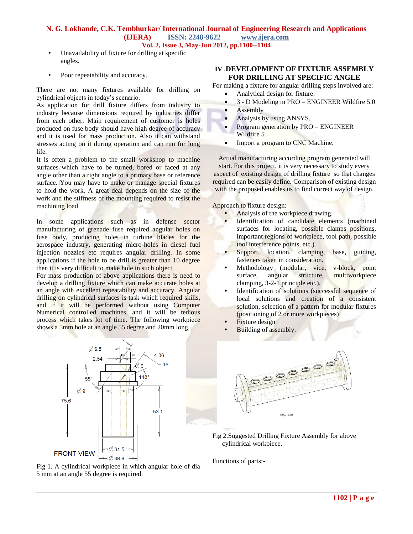## **N. G. Lokhande, C.K. Tembhurkar/ International Journal of Engineering Research and Applications (IJERA) ISSN: 2248-9622 www.ijera.com Vol. 2, Issue 3, May-Jun 2012, pp.1100--1104**

- Unavailability of fixture for drilling at specific angles.
- Poor repeatability and accuracy.

There are not many fixtures available for drilling on cylindrical objects in today's scenario.

As application for drill fixture differs from industry to industry because dimensions required by industries differ from each other. Main requirement of customer is holes produced on fuse body should have high degree of accuracy and it is used for mass production. Also it can withstand stresses acting on it during operation and can run for long life.

It is often a problem to the small workshop to machine surfaces which have to be turned, bored or faced at any angle other than a right angle to a primary base or reference surface. You may have to make or manage special fixtures to hold the work. A great deal depends on the size of the work and the stiffness of the mounting required to resist the machining load.

In some applications such as in defense sector manufacturing of grenade fuse required angular holes on fuse body, producing holes in turbine blades for the aerospace industry, generating micro-holes in diesel fuel injection nozzles etc requires angular drilling. In some applications if the hole to be drill is greater than 10 degree then it is very difficult to make hole in such object.

For mass production of above applications there is need to develop a drilling fixture which can make accurate holes at an angle with excellent repeatability and accuracy. Angular drilling on cylindrical surfaces is task which required skills, and if it will be performed without using Computer Numerical controlled machines, and it will be tedious process which takes lot of time. The following workpiece shows a 5mm hole at an angle 55 degree and 20mm long.



#### Fig 1. A cylindrical workpiece in which angular hole of dia 5 mm at an angle 55 degree is required.

## **IV** .**DEVELOPMENT OF FIXTURE ASSEMBLY FOR DRILLING AT SPECIFIC ANGLE**

For making a fixture for angular drilling steps involved are:

- Analytical design for fixture.
- 3 D Modeling in PRO ENGINEER Wildfire 5.0
- Assembly
- Analysis by using ANSYS.
- Program generation by PRO ENGINEER Wildfire 5
- Import a program to CNC Machine.

Actual manufacturing according program generated will start. For this project, it is very necessary to study every aspect of existing design of drilling fixture so that changes required can be easily define. Comparison of existing design with the proposed enables us to find correct way of design.

Approach to fixture design:

- **•** Analysis of the workpiece drawing.
- **•** Identification of candidate elements (machined surfaces for locating, possible clamps positions, important regions of workpiece, tool path, possible tool interference points, etc.).
- **•** Support, location, clamping, base, guiding, fasteners taken in consideration.
- **•** Methodology (modular, vice, v-block, point surface, angular structure, multiworkpiece clamping, 3-2-1 principle etc.).
- **•** Identification of solutions (successful sequence of local solutions and creation of a consistent solution, selection of a pattern for modular fixtures (positioning of 2 or more workpieces)
- **Fixture** design
- **•** Building of assembly.



Fig 2.Suggested Drilling Fixture Assembly for above cylindrical workpiece.

Functions of parts:-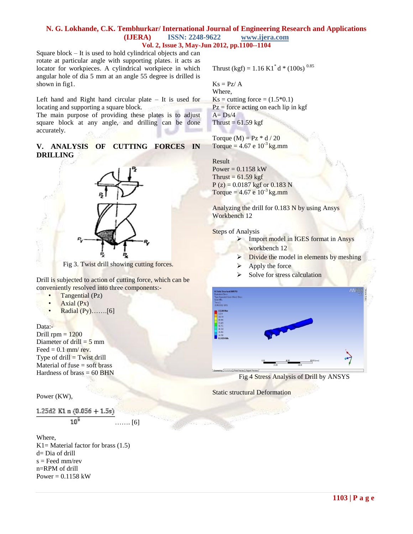#### **N. G. Lokhande, C.K. Tembhurkar/ International Journal of Engineering Research and Applications (IJERA) ISSN: 2248-9622 www.ijera.com Vol. 2, Issue 3, May-Jun 2012, pp.1100--1104**

Square block – It is used to hold cylindrical objects and can rotate at particular angle with supporting plates. it acts as locator for workpieces. A cylindrical workpiece in which angular hole of dia 5 mm at an angle 55 degree is drilled is shown in fig1.

Left hand and Right hand circular plate – It is used for locating and supporting a square block.

The main purpose of providing these plates is to adjust square block at any angle, and drilling can be done accurately.

**V. ANALYSIS OF CUTTING FORCES IN DRILLING**



Fig 3. Twist drill showing cutting forces.

Drill is subjected to action of cutting force, which can be conveniently resolved into three components:-

- Tangential (Pz)
- Axial  $(Px)$
- Radial (Py)…….[6]

Data:-

Drill  $rpm = 1200$ Diameter of drill  $=$  5 mm Feed  $= 0.1$  mm/ rev. Type of  $drill = Twist drill$ Material of fuse  $=$  soft brass Hardness of brass  $= 60$  BHN

#### Power (KW),

1.25d2 K1 n  $(0.056 + 1.5s)$  $10^5$ ……. [6]

Where, K1= Material factor for brass  $(1.5)$ d= Dia of drill  $s =$  Feed mm/rev n=RPM of drill Power =  $0.1158$  kW

Thrust (kgf) = 1.16 K1<sup>\*</sup> d \* (100s)<sup>0.85</sup>

$$
Ks = Pz/\,A
$$

Where,  $\text{Ks} = \text{cutting force} = (1.5*0.1)$  $Pz =$  force acting on each lip in kgf  $A = Ds/4$ Thrust =  $61.59$  kgf

Torque  $(M) = Pz * d / 20$ Torque =  $4.67$  e  $10^{-3}$  kg.mm

Result Power =  $0.1158$  kW Thrust =  $61.59$  kgf  $P(z) = 0.0187$  kgf or 0.183 N Torque =  $4.67$  e  $10^{-3}$  kg.mm

Analyzing the drill for 0.183 N by using Ansys Workbench 12

**Steps of Analysis** 

- > Import model in IGES format in Ansys workbench 12
	- $\triangleright$  Divide the model in elements by meshing
	- $\blacktriangleright$  Apply the force
	- $\triangleright$  Solve for stress calculation



Fig 4 Stress Analysis of Drill by ANSYS

Static structural Deformation